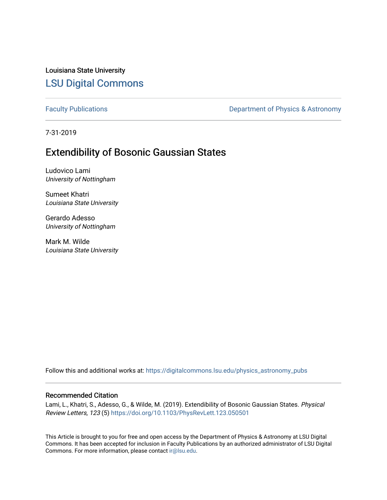Louisiana State University [LSU Digital Commons](https://digitalcommons.lsu.edu/)

[Faculty Publications](https://digitalcommons.lsu.edu/physics_astronomy_pubs) **Exercise 2 and Table 2 and Table 2 and Table 2 and Table 2 and Table 2 and Table 2 and Table 2 and Table 2 and Table 2 and Table 2 and Table 2 and Table 2 and Table 2 and Table 2 and Table 2 and Table** 

7-31-2019

### Extendibility of Bosonic Gaussian States

Ludovico Lami University of Nottingham

Sumeet Khatri Louisiana State University

Gerardo Adesso University of Nottingham

Mark M. Wilde Louisiana State University

Follow this and additional works at: [https://digitalcommons.lsu.edu/physics\\_astronomy\\_pubs](https://digitalcommons.lsu.edu/physics_astronomy_pubs?utm_source=digitalcommons.lsu.edu%2Fphysics_astronomy_pubs%2F5618&utm_medium=PDF&utm_campaign=PDFCoverPages) 

### Recommended Citation

Lami, L., Khatri, S., Adesso, G., & Wilde, M. (2019). Extendibility of Bosonic Gaussian States. Physical Review Letters, 123 (5) <https://doi.org/10.1103/PhysRevLett.123.050501>

This Article is brought to you for free and open access by the Department of Physics & Astronomy at LSU Digital Commons. It has been accepted for inclusion in Faculty Publications by an authorized administrator of LSU Digital Commons. For more information, please contact [ir@lsu.edu](mailto:ir@lsu.edu).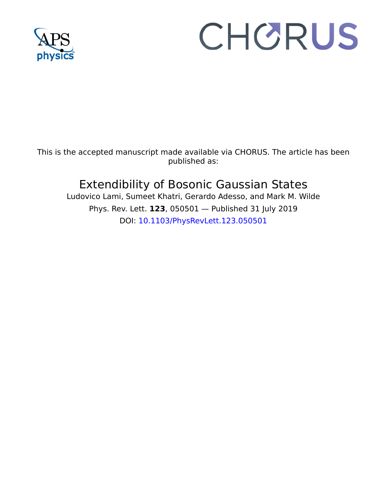

# CHORUS

This is the accepted manuscript made available via CHORUS. The article has been published as:

## Extendibility of Bosonic Gaussian States

Ludovico Lami, Sumeet Khatri, Gerardo Adesso, and Mark M. Wilde Phys. Rev. Lett. **123**, 050501 — Published 31 July 2019 DOI: [10.1103/PhysRevLett.123.050501](http://dx.doi.org/10.1103/PhysRevLett.123.050501)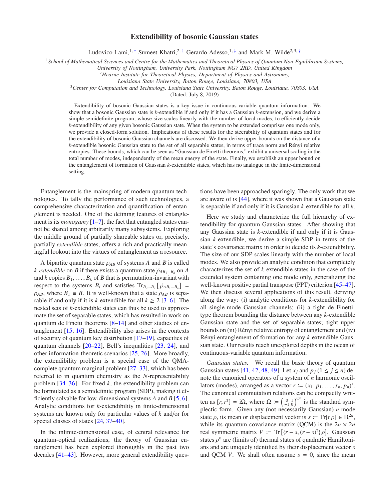#### Extendibility of bosonic Gaussian states

Ludovico Lami,<sup>1,[∗](#page-6-0)</sup> Sumeet Khatri,<sup>2,[†](#page-6-1)</sup> Gerardo Adesso,<sup>1,[‡](#page-6-2)</sup> and Mark M. Wilde<sup>2,3, [§](#page-6-3)</sup>

<sup>1</sup>*School of Mathematical Sciences and Centre for the Mathematics and Theoretical Physics of Quantum Non-Equilibrium Systems,*

*University of Nottingham, University Park, Nottingham NG7 2RD, United Kingdom*

<sup>2</sup>*Hearne Institute for Theoretical Physics, Department of Physics and Astronomy,*

*Louisiana State University, Baton Rouge, Louisiana, 70803, USA*

<sup>3</sup>*Center for Computation and Technology, Louisiana State University, Baton Rouge, Louisiana, 70803, USA*

(Dated: July 8, 2019)

Extendibility of bosonic Gaussian states is a key issue in continuous-variable quantum information. We show that a bosonic Gaussian state is *k*-extendible if and only if it has a Gaussian *k*-extension, and we derive a simple semidefinite program, whose size scales linearly with the number of local modes, to efficiently decide *k*-extendibility of any given bosonic Gaussian state. When the system to be extended comprises one mode only, we provide a closed-form solution. Implications of these results for the steerability of quantum states and for the extendibility of bosonic Gaussian channels are discussed. We then derive upper bounds on the distance of a *k*-extendible bosonic Gaussian state to the set of all separable states, in terms of trace norm and Rényi relative entropies. These bounds, which can be seen as "Gaussian de Finetti theorems," exhibit a universal scaling in the total number of modes, independently of the mean energy of the state. Finally, we establish an upper bound on the entanglement of formation of Gaussian *k*-extendible states, which has no analogue in the finite-dimensional setting.

Entanglement is the mainspring of modern quantum technologies. To tally the performance of such technologies, a comprehensive characterization and quantification of entanglement is needed. One of the defining features of entanglement is its *monogamy* [\[1–](#page-6-4)[7\]](#page-6-5), the fact that entangled states cannot be shared among arbitrarily many subsystems. Exploring the middle ground of partially shareable states or, precisely, partially *extendible* states, offers a rich and practically meaningful lookout into the virtues of entanglement as a resource.

A bipartite quantum state  $\rho_{AB}$  of systems *A* and *B* is called *k*-extendible on *B* if there exists a quantum state  $\tilde{\rho}_{AB_1\cdots B_k}$  on *A* and *k* copies  $B_1, \ldots, B_k$  of *B* that is permutation-invariant with respect to the systems  $B_i$  and satisfies  $\text{Tr}_{B_2\cdots B_n}[\widetilde{\rho}_{AB_1\cdots B_n}] =$  $\rho_{AB}$ , where  $B_1 \equiv B$ . It is well-known that a state  $\rho_{AB}$  is separable if and only if it is *k*-extendible for all  $k \ge 2$  [\[3](#page-6-6)[–6\]](#page-6-7). The nested sets of *k*-extendible states can thus be used to approximate the set of separable states, which has resulted in work on quantum de Finetti theorems [\[8](#page-6-8)[–14\]](#page-6-9) and other studies of entanglement [\[15,](#page-6-10) [16\]](#page-6-11). Extendibility also arises in the contexts of security of quantum key distribution [\[17](#page-6-12)[–19\]](#page-6-13), capacities of quantum channels [\[20](#page-6-14)[–22](#page-6-15)], Bell's inequalities [\[23,](#page-6-16) [24\]](#page-6-17), and other information-theoretic scenarios [\[25](#page-6-18), [26](#page-6-19)]. More broadly, the extendibility problem is a special case of the QMAcomplete quantum marginal problem [\[27](#page-6-20)[–33\]](#page-6-21), which has been referred to in quantum chemistry as the *N*-representability problem [\[34](#page-6-22)[–36\]](#page-6-23). For fixed *k*, the extendibility problem can be formulated as a semidefinite program (SDP), making it efficiently solvable for low-dimensional systems *A* and *B* [\[5,](#page-6-24) [6](#page-6-7)]. Analytic conditions for *k*-extendibility in finite-dimensional systems are known only for particular values of *k* and/or for special classes of states [\[24,](#page-6-17) [37](#page-6-25)[–40\]](#page-6-26).

In the infinite-dimensional case, of central relevance for quantum-optical realizations, the theory of Gaussian entanglement has been explored thoroughly in the past two decades [\[41](#page-6-27)[–43\]](#page-7-0). However, more general extendibility questions have been approached sparingly. The only work that we are aware of is [\[44\]](#page-7-1), where it was shown that a Gaussian state is separable if and only if it is Gaussian *k*-extendible for all *k*.

Here we study and characterize the full hierarchy of extendibility for quantum Gaussian states. After showing that any Gaussian state is *k*-extendible if and only if it is Gaussian *k*-extendible, we derive a simple SDP in terms of the state's covariance matrix in order to decide its *k*-extendibility. The size of our SDP scales linearly with the number of local modes. We also provide an analytic condition that completely characterizes the set of *k*-extendible states in the case of the extended system containing one mode only, generalizing the well-known positive partial transpose (PPT) criterion [\[45](#page-7-2)[–47](#page-7-3)]. We then discuss several applications of this result, deriving along the way: (i) analytic conditions for *k*-extendibility for all single-mode Gaussian channels; (ii) a tight de Finettitype theorem bounding the distance between any *k*-extendible Gaussian state and the set of separable states; tight upper bounds on (iii) Rényi relative entropy of entanglement and (iv) Rényi entanglement of formation for any *k*-extendible Gaussian state. Our results reach unexplored depths in the ocean of continuous-variable quantum information.

*Gaussian states.* We recall the basic theory of quantum Gaussian states [\[41,](#page-6-27) [42,](#page-6-28) [48,](#page-7-4) [49\]](#page-7-5). Let  $x_j$  and  $p_j$  ( $1 \le j \le n$ ) denote the canonical operators of a system of *n* harmonic oscillators (modes), arranged as a vector  $r \coloneqq (x_1, p_1, \dots, x_n, p_n)^\top$ . The canonical commutation relations can be compactly written as  $[r, r^{\dagger}] = i\Omega$ , where  $\Omega := \left(\begin{array}{cc} 0 & 1 \\ -1 & 0 \end{array}\right)^{\oplus n}$  is the standard symplectic form. Given any (not necessarily Gaussian) *n*-mode state  $\rho$ , its mean or displacement vector is  $s := \text{Tr}[r\rho] \in \mathbb{R}^{2n}$ , while its quantum covariance matrix (QCM) is the  $2n \times 2n$ real symmetric matrix  $V = \text{Tr}[(r - s, (r - s)^T) \rho]$ . Gaussian states  $\rho^{\rm G}$  are (limits of) thermal states of quadratic Hamiltonians and are uniquely identified by their displacement vector *s* and QCM *V*. We shall often assume  $s = 0$ , since the mean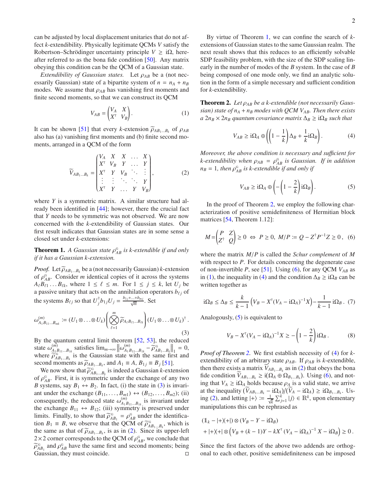can be adjusted by local displacement unitaries that do not affect *k*-extendibility. Physically legitimate QCMs *V* satisfy the Robertson–Schrödinger uncertainty principle  $V \geq i\Omega$ , hereafter referred to as the bona fide condition [\[50](#page-7-6)]. Any matrix obeying this condition can be the QCM of a Gaussian state.

*Extendibility of Gaussian states.* Let  $\rho_{AB}$  be a (not necessarily Gaussian) state of a bipartite system of  $n = n_A + n_B$ modes. We assume that  $\rho_{AB}$  has vanishing first moments and finite second moments, so that we can construct its QCM

<span id="page-3-5"></span>
$$
V_{AB} = \begin{pmatrix} V_A & X \\ X^T & V_B \end{pmatrix} . \tag{1}
$$

It can be shown [\[51\]](#page-7-7) that every *k*-extension  $\widetilde{\rho}_{AB_1...B_k}$  of  $\rho_{AB}$ also has (a) vanishing first moments and (b) finite second moments, arranged in a QCM of the form

<span id="page-3-1"></span>
$$
\widetilde{V}_{AB_1...B_k} = \begin{pmatrix} V_A & X & X & \dots & X \\ X^T & V_B & Y & \dots & Y \\ X^T & Y & V_B & \ddots & \vdots \\ \vdots & \vdots & \ddots & \ddots & Y \\ X^T & Y & \dots & Y & V_B \end{pmatrix},
$$
 (2)

where *Y* is a symmetric matrix. A similar structure had already been identified in [\[44\]](#page-7-1); however, there the crucial fact that *Y* needs to be symmetric was not observed. We are now concerned with the *k*-extendibility of Gaussian states. Our first result indicates that Gaussian states are in some sense a closed set under *k*-extensions:

<span id="page-3-2"></span>**Theorem 1.** A Gaussian state  $\rho_{AB}^{\text{G}}$  is k-extendible if and only *if it has a Gaussian k-extension.*

*Proof.* Let  $\tilde{\rho}_{AB_1...B_k}$  be a (not necessarily Gaussian) *k*-extension of  $\rho_{AB}^{\text{G}}$ . Consider *m* identical copies of it across the systems  $A_{\ell}B_{\ell1} \ldots B_{\ell k}$ , where  $1 \leq \ell \leq m$ . For  $1 \leq j \leq k$ , let  $U_j$  be a passive unitary that acts on the annihilation operators  $b_{\ell j}$  of the systems  $B_{\ell j}$  so that  $U_j^{\dagger} b_{1j} U_j = \frac{b_{1j} + ... + b_{mj}}{\sqrt{m}}$ . Set

<span id="page-3-0"></span>
$$
\omega_{A_1B_{11}...B_{mk}}^{(m)} := (U_1 \otimes ... \otimes U_k) \left( \bigotimes_{\ell=1}^m \widetilde{\rho}_{A_\ell B_{\ell 1}...B_{\ell k}} \right) (U_1 \otimes ... \otimes U_k)^{\dagger}.
$$
\n(3)

By the quantum central limit theorem [\[52](#page-7-8), [53](#page-7-9)], the reduced state  $\omega_{A_1}^{(m)}$  $\lim_{A_1B_1\dots B_{1k}}$  satisfies  $\lim_{m\to\infty}$  ||ω $\lim_{A_1B_1}$  $\left.\frac{a_{1}B_{11}...B_{1k}}{A_{1}B_{11}...B_{k}}\right|_{1} = 0,$ where  $\widetilde{\rho}_{AB_1...B_k}^G$  is the Gaussian state with the same first and second moments as  $\widetilde{\rho}_{AB_1...B_k}$ , and  $A_1 \equiv A, B_{1j} \equiv B_j$  [\[51](#page-7-7)].

We now show that  $\widetilde{\rho}_{AB_1...B_k}^G$  is indeed a Gaussian *k*-extension of  $\rho_{AB}^{\text{G}}$ . First, it is symmetric under the exchange of any two *B* systems, say  $B_1 \leftrightarrow B_2$ . In fact, (i) the state in [\(3\)](#page-3-0) is invariant under the exchange  $(B_{11}, \ldots, B_{m1}) \leftrightarrow (B_{12}, \ldots, B_{m2})$ ; (ii) consequently, the reduced state  $\omega_{A}^{(m)}$  $A_1 B_{11} \dots B_{1k}$  is invariant under the exchange  $B_{11} \leftrightarrow B_{12}$ ; (iii) symmetry is preserved under limits. Finally, to show that  $\widetilde{\rho}_{AB_1}^G = \rho_{AB}^G$  under the identification  $B_1 \equiv B$ , we observe that the QCM of  $\widetilde{\rho}_{AB_1...B_k}^G$ , which is the same as that of  $\widetilde{\rho}_{AB_1...B_k}$ , is as in [\(2\)](#page-3-1). Since its upper-left  $2 \times 2$  corner corresponds to the QCM of  $\rho_{AB}^{\text{G}}$ , we conclude that  $\widetilde{\rho}_{AB_1}^{\text{G}}$  and  $\rho_{AB}^{\text{G}}$  have the same first and second moments; being Gaussian, they must coincide.

By virtue of Theorem [1,](#page-3-2) we can confine the search of *k*extensions of Gaussian states to the same Gaussian realm. The next result shows that this reduces to an efficiently solvable SDP feasibility problem, with the size of the SDP scaling linearly in the number of modes of the *B* system. In the case of *B* being composed of one mode only, we find an analytic solution in the form of a simple necessary and sufficient condition for *k*-extendibility.

<span id="page-3-3"></span>Theorem 2. *Let* ρ*AB be a k-extendible (not necessarily Gaussian) state of n<sup>A</sup>* + *n<sup>B</sup> modes with QCM VAB. Then there exists*  $a \ 2n_B \times 2n_B$  *quantum covariance matrix*  $\Delta_B \geq i\Omega_B$  *such that* 

<span id="page-3-6"></span>
$$
V_{AB} \geq \mathbf{i}\Omega_A \oplus \left( \left( 1 - \frac{1}{k} \right) \Delta_B + \frac{1}{k} \mathbf{i}\Omega_B \right). \tag{4}
$$

*Moreover, the above condition is necessary and su*ffi*cient for*  $k$ -extendibility when  $\rho_{AB} = \rho_{AB}^G$  is Gaussian. If in addition  $n_B = 1$ , then  $\rho_{AB}^G$  is k-extendible if and only if

<span id="page-3-7"></span>
$$
V_{AB} \geq \mathbf{i}\Omega_A \oplus \left(-\left(1 - \frac{2}{k}\right)\mathbf{i}\Omega_B\right). \tag{5}
$$

In the proof of Theorem [2,](#page-3-3) we employ the following characterization of positive semidefiniteness of Hermitian block matrices [\[54,](#page-7-10) Theorem 1.12]:

<span id="page-3-4"></span>
$$
M = \begin{pmatrix} P & Z \\ Z^\dagger & Q \end{pmatrix} \ge 0 \iff P \ge 0, \ M/P \coloneqq Q - Z^\dagger P^{-1} Z \ge 0, \tag{6}
$$

where the matrix *M*/*P* is called the *Schur complement* of *M* with respect to *P*. For details concerning the degenerate case of non-invertible *P*, see [\[51\]](#page-7-7). Using [\(6\)](#page-3-4), for any QCM *VAB* as in [\(1\)](#page-3-5), the inequality in [\(4\)](#page-3-6) and the condition  $\Delta_B$  ≥ iΩ<sub>*B*</sub> can be written together as

<span id="page-3-8"></span>
$$
i\Omega_B \le \Delta_B \le \frac{k}{k-1} \left( V_B - X^{\mathsf{T}} (V_A - i\Omega_A)^{-1} X \right) - \frac{1}{k-1} i\Omega_B . \tag{7}
$$

Analogously,  $(5)$  is equivalent to

<span id="page-3-9"></span>
$$
V_B - X^{T} (V_A - i\Omega_A)^{-1} X \ge -\left(1 - \frac{2}{k}\right) i\Omega_B.
$$
 (8)

*Proof of Theorem [2.](#page-3-3)* We first establish necessity of [\(4\)](#page-3-6) for *k*extendibility of an arbitrary state  $\rho_{AB}$ . If  $\rho_{AB}$  is *k*-extendible, then there exists a matrix  $V_{AB_1...B_k}$  as in [\(2\)](#page-3-1) that obeys the bona fide condition  $\widetilde{V}_{AB_1...B_k} \geq i(\Omega_A \oplus \Omega_{B_1...B_k})$ . Using [\(6\)](#page-3-4), and noting that  $V_A \geq i\Omega_A$  holds because  $\rho_A$  is a valid state, we arrive at the inequality  $(\widetilde{V}_{AB_1...B_k} - i\Omega_A)/(\widetilde{V}_A - i\Omega_A) \geq i\Omega_{B_1...B_k}$ . Us-ing [\(2\)](#page-3-1), and letting  $|+\rangle := \frac{1}{\sqrt{k}} \sum_{j=1}^{k} |j\rangle \in \mathbb{R}^{k}$ , upon elementary manipulations this can be rephrased as

$$
(1k - |+ \chi + |) \otimes (V_B - Y - i\Omega_B)
$$
  
+ |+ \chi + | \otimes (V\_B + (k-1)Y - kX<sup>T</sup> (V\_A - i\Omega\_A)<sup>-1</sup> X - i\Omega\_B) \ge 0.

Since the first factors of the above two addends are orthogonal to each other, positive semidefiniteness can be imposed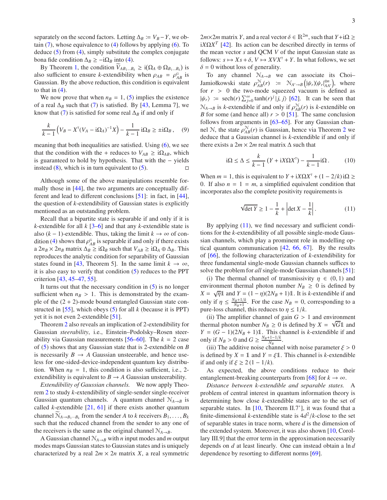separately on the second factors. Letting  $\Delta_B := V_B - Y$ , we obtain  $(7)$ , whose equivalence to  $(4)$  follows by applying  $(6)$ . To deduce [\(5\)](#page-3-7) from [\(4\)](#page-3-6), simply substitute the complex conjugate bona fide condition  $\Delta_B \geq -i\Omega_B$  into [\(4\)](#page-3-6).

By Theorem [1,](#page-3-2) the condition  $\widetilde{V}_{AB_1...B_k} \geq i(\Omega_A \oplus \Omega_{B_1...B_k})$  is also sufficient to ensure *k*-extendibility when  $\rho_{AB} = \rho_{AB}^G$  is Gaussian. By the above reduction, this condition is equivalent to that in  $(4)$ .

We now prove that when  $n_B = 1$ , [\(5\)](#page-3-7) implies the existence of a real  $\Delta_B$  such that [\(7\)](#page-3-8) is satisfied. By [\[43,](#page-7-0) Lemma 7], we know that [\(7\)](#page-3-8) is satisfied for some real  $\Delta_B$  if and only if

$$
\frac{k}{k-1}\left(V_B - X^\mathsf{T}(V_A - \mathbf{i}\Omega_A)^{-1}X\right) - \frac{1}{k-1}\mathbf{i}\Omega_B \ge \pm \mathbf{i}\Omega_B\,,\tag{9}
$$

meaning that both inequalities are satisfied. Using [\(6\)](#page-3-4), we see that the condition with the + reduces to  $V_{AB} \geq i\Omega_{AB}$ , which is guaranteed to hold by hypothesis. That with the − yields instead  $(8)$ , which is in turn equivalent to  $(5)$ .

Although some of the above manipulations resemble formally those in [\[44](#page-7-1)], the two arguments are conceptually different and lead to different conclusions [\[51\]](#page-7-7): in fact, in [\[44](#page-7-1)], the question of *k*-extendibility of Gaussian states is explicitly mentioned as an outstanding problem.

Recall that a bipartite state is separable if and only if it is *k*-extendible for all *k* [\[3](#page-6-6)[–6\]](#page-6-7) and that any *k*-extendible state is also  $(k - 1)$ -extendible. Thus, taking the limit  $k \to \infty$  of con-dition [\(4\)](#page-3-6) shows that  $\rho_{AB}^G$  is separable if and only if there exists a  $2n_B \times 2n_B$  matrix  $\Delta_B \geq i\Omega_B$  such that  $V_{AB} \geq i\Omega_A \oplus \Delta_B$ . This reproduces the analytic condition for separability of Gaussian states found in [\[43,](#page-7-0) Theorem 5]. In the same limit  $k \to \infty$ , it is also easy to verify that condition [\(5\)](#page-3-7) reduces to the PPT criterion [\[43,](#page-7-0) [45](#page-7-2)[–47,](#page-7-3) [55](#page-7-11)].

It turns out that the necessary condition in  $(5)$  is no longer sufficient when  $n_B > 1$ . This is demonstrated by the example of the  $(2 + 2)$ -mode bound entangled Gaussian state constructed in [\[55](#page-7-11)], which obeys [\(5\)](#page-3-7) for all *k* (because it is PPT) yet it is not even 2-extendible [\[51\]](#page-7-7).

Theorem [2](#page-3-3) also reveals an implication of 2-extendibility for Gaussian *steerability*, i.e., Einstein–Podolsky–Rosen steerability via Gaussian measurements  $[56-60]$ . The  $k = 2$  case of [\(5\)](#page-3-7) shows that any Gaussian state that is 2-extendible on *B* is necessarily  $B \to A$  Gaussian unsteerable, and hence useless for one-sided-device-independent quantum key distribution. When  $n_B = 1$ , this condition is also sufficient, i.e., 2extendibility is equivalent to  $B \to A$  Gaussian unsteerability.

*Extendibility of Gaussian channels.* We now apply Theorem [2](#page-3-3) to study *k*-extendibility of single-sender single-receiver Gaussian quantum channels. A quantum channel  $\mathcal{N}_{A\rightarrow B}$  is called *k*-extendible  $[21, 61]$  $[21, 61]$  if there exists another quantum channel  $\widetilde{N}_{A\rightarrow B_1\cdots B_k}$  from the sender *A* to *k* receivers  $B_1, \ldots, B_k$ such that the reduced channel from the sender to any one of the receivers is the same as the original channel  $\mathcal{N}_{A\rightarrow B}$ .

A Gaussian channel  $N_{A\rightarrow B}$  with *n* input modes and *m* output modes maps Gaussian states to Gaussian states and is uniquely characterized by a real  $2m \times 2n$  matrix *X*, a real symmetric

 $2m\times2m$  matrix *Y*, and a real vector  $\delta \in \mathbb{R}^{2m}$ , such that  $Y+i\Omega \geq$  $iX$ Ω $X<sup>T</sup>$  [\[42\]](#page-6-28). Its action can be described directly in terms of the mean vector *s* and QCM *V* of the input Gaussian state as follows:  $s \mapsto Xs + \delta$ ,  $V \mapsto XYX^{\dagger} + Y$ . In what follows, we set  $\delta = 0$  without loss of generality.

To any channel  $N_{A\rightarrow B}$  we can associate its Choi– Jamiołkowski state  $\rho_{AB}^{\mathcal{N}}(r) = \mathcal{N}_{A' \to B} \left( |\psi_r \chi \psi_r|_{AA'}^{\otimes n} \right)$ , where | for  $r > 0$  the two-mode squeezed vacuum is defined as  $|\psi_r\rangle$  := sech(*r*)  $\sum_{j=0}^{\infty} \tanh(r)^j |j, j\rangle$  [\[62\]](#page-7-15). It can be seen that  $N_{A\rightarrow B}$  is *k*-extendible if and only if  $\rho_{AB}^{\mathcal{N}}(r)$  is *k*-extendible on *B* for some (and hence all)  $r > 0$  [\[51\]](#page-7-7). The same conclusion follows from arguments in [\[63](#page-7-16)[–65\]](#page-7-17). For any Gaussian channel N, the state  $\rho_{AB}^{\mathcal{N}}(r)$  is Gaussian, hence via Theorem [2](#page-3-3) we deduce that a Gaussian channel is *k*-extendible if and only if there exists a  $2m \times 2m$  real matrix  $\Delta$  such that

$$
i\Omega \le \Delta \le \frac{k}{k-1} \left( Y + iX\Omega X^{\mathsf{T}} \right) - \frac{1}{k-1} i\Omega. \tag{10}
$$

When  $m = 1$ , this is equivalent to  $Y + iX\Omega X^{\dagger} + (1 - 2/k)i\Omega \ge$ 0. If also  $n = 1 = m$ , a simplified equivalent condition that incorporates also the complete positivity requirements is

<span id="page-4-0"></span>
$$
\sqrt{\det Y} \ge 1 - \frac{1}{k} + \left| \det X - \frac{1}{k} \right|.
$$
 (11)

By applying  $(11)$ , we find necessary and sufficient conditions for the *k*-extendibility of all possible single-mode Gaussian channels, which play a prominent role in modelling optical quantum communication [\[42,](#page-6-28) [66,](#page-7-18) [67](#page-7-19)]. By the results of [\[66](#page-7-18)], the following characterization of *k*-extendibility for three fundamental single-mode Gaussian channels suffices to solve the problem for *all* single-mode Gaussian channels [\[51\]](#page-7-7):

(i) The thermal channel of transmissivity  $\eta \in (0, 1)$  and environment thermal photon number  $N_B \geq 0$  is defined by  $X = \sqrt{\eta} \mathbb{1}$  and  $Y = (1 - \eta)(2N_B + 1)\mathbb{1}$ . It is *k*-extendible if and only if  $\eta \leq \frac{N_B + 1/k}{N_B + 1}$ . For the case  $N_B = 0$ , corresponding to a pure-loss channel, this reduces to  $\eta \leq 1/k$ .

(ii) The amplifier channel of gain  $G > 1$  and environment thermal photon number  $N_B \ge 0$  is defined by  $X = \sqrt{G}1$  and *Y* =  $(G - 1)(2N<sub>B</sub> + 1)$ 1. This channel is *k*-extendible if and only if  $N_B > 0$  and  $G \geq \frac{N_B + 1 - 1/k}{N_B}$ .

(iii) The additive noise channel with noise parameter  $\xi > 0$ is defined by  $X = 1$  and  $Y = \xi 1$ . This channel is *k*-extendible if and only if  $\xi \geq 2(1 - 1/k)$ .

As expected, the above conditions reduce to their entanglement-breaking counterparts from [\[68](#page-7-20)] for  $k \to \infty$ .

*Distance between k-extendible and separable states.* A problem of central interest in quantum information theory is determining how close *k*-extendible states are to the set of separable states. In  $[10,$  Theorem II.7'], it was found that a finite-dimensional *k*-extendible state is  $4d^2/k$ -close to the set of separable states in trace norm, where *d* is the dimension of the extended system. Moreover, it was also shown [10, Corollary III.9] that the error term in the approximation necessarily depends on *d* at least linearly. One can instead obtain a ln *d* dependence by resorting to different norms [\[69](#page-7-21)].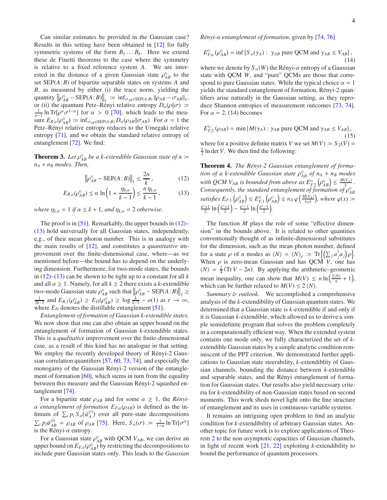Can similar estimates be provided in the Gaussian case? Results in this setting have been obtained in [\[12](#page-6-30)] for fully symmetric systems of the form  $B_1 \ldots B_k$ . Here we extend these de Finetti theorems to the case where the symmetry is relative to a fixed reference system *A*. We are interested in the distance of a given Gaussian state  $\rho_{AB}^{\text{G}}$  to the set SEP(*A*:*B*) of bipartite separable states on systems *A* and *B*, as measured by either (i) the trace norm, yielding the  $\left\|\rho_{AB}^G - \text{SEP}(A:B)\right\|_1 := \inf_{\sigma_{AB} \in \text{SEP}(A:B)} \left\|\rho_{AB} - \sigma_{AB}\right\|_1,$ or (ii) the quantum Petz–Rényi relative entropy  $D_{\alpha}(\rho||\sigma)$  :=  $\frac{1}{\alpha-1}$  ln Tr[ $\rho^{\alpha}\sigma^{1-\alpha}$ ] for  $\alpha > 0$  [\[70\]](#page-7-22), which leads to the mea- $\lim_{\alpha \to \infty} E_{R,\alpha}(\rho_{AB}^G) := \inf_{\sigma_{AB} \in SEP(A:B)} D_{\alpha}(\rho_{AB} || \sigma_{AB}).$  For  $\alpha = 1$  the Petz–Rényi relative entropy reduces to the Umegaki relative entropy [\[71](#page-7-23)], and we obtain the standard relative entropy of entanglement [\[72\]](#page-7-24). We find:

**Theorem 3.** Let  $\rho_{AB}^G$  be a k-extendible Gaussian state of  $n :=$ *n<sup>A</sup>* + *n<sup>B</sup> modes. Then,*

$$
\left\| \rho_{AB}^{\text{G}} - \text{SEP}(A:B) \right\|_{1} \le \frac{2n}{k},\tag{12}
$$

$$
E_{R,\alpha}(\rho_{AB}^{\mathcal{G}}) \le n \ln\left(1 + \frac{\eta_{k,\alpha}}{k-1}\right) \le \frac{n \eta_{k,\alpha}}{k-1},\tag{13}
$$

*where*  $\eta_{k,\alpha} = 1$  *if*  $\alpha \leq k + 1$ *, and*  $\eta_{k,\alpha} = 2$  *otherwise.* 

The proof is in [\[51\]](#page-7-7). Remarkably, the upper bounds in [\(12\)](#page-5-0)– [\(13\)](#page-5-1) hold universally for all Gaussian states, independently, e.g., of their mean photon number. This is in analogy with the main results of [\[12\]](#page-6-30), and constitutes a *quantitative* improvement over the finite-dimensional case, where—as we mentioned before—the bound has to depend on the underlying dimension. Furthermore, for two-mode states, the bounds in [\(12\)](#page-5-0)–[\(13\)](#page-5-1) can be shown to be tight up to a constant for all *k* and all  $\alpha \geq 1$ . Namely, for all  $k \geq 2$  there exists a *k*-extendible two-mode Gaussian state  $\rho_{AB}^G$  such that  $\left\|\rho_{AB}^G - \text{SEP}(A:B)\right\|_1 \ge \frac{1}{2k-1}$  and  $E_{R,1}(\rho_{AB}^G) \ge E_D(\rho_{AB}^G) \ge \log \frac{k}{k-1} - o(1)$  as  $r \to \infty$ , where  $E_D$  denotes the distillable entanglement [\[51\]](#page-7-7).

*Entanglement of formation of Gaussian k-extendible states.* We now show that one can also obtain an upper bound on the entanglement of formation of Gaussian *k*-extendible states. This is a *qualitative* improvement over the finite-dimensional case, as a result of this kind has no analogue in that setting. We employ the recently developed theory of Rényi-2 Gaussian correlation quantifiers [\[57,](#page-7-25) [60](#page-7-13), [73](#page-7-26), [74\]](#page-7-27), and especially the monogamy of the Gaussian Rényi-2 version of the entanglement of formation  $[60]$ , which stems in turn from the equality between this measure and the Gaussian Rényi-2 squashed entanglement [\[74](#page-7-27)].

For a bipartite state  $\rho_{AB}$  and for some  $\alpha \geq 1$ , the *Rényi*- $\alpha$  *entanglement of formation*  $E_{F,\alpha}(\rho_{AB})$  is defined as the infimum of  $\sum_i p_i S_\alpha(\psi_A^{(i)})$  over all pure-state decompositions  $\sum_i p_i \psi_{AB}^{(i)} = \rho_{AB}$  of  $\rho_{AB}$  [\[75\]](#page-7-28). Here,  $S_\alpha(\sigma) := \frac{1}{1-\alpha} \ln \text{Tr}[\sigma^\alpha]$ is the Rényi- $\alpha$  entropy.

For a Gaussian state  $\rho_{AB}^{\text{G}}$  with QCM  $V_{AB}$ , we can derive an upper bound on  $E_{F,\alpha}(\rho_{AB}^{\alpha})$  by restricting the decompositions to include pure Gaussian states only. This leads to the *Gaussian* *Rényi-*α *entanglement of formation*, given by [\[74](#page-7-27), [76](#page-7-29)]

<span id="page-5-2"></span>
$$
E_{F,\alpha}^{\text{G}}\left(\rho_{AB}^{\text{G}}\right) = \inf \left\{ S_{\alpha}(\gamma_A) : \gamma_{AB} \text{ pure QCM and } \gamma_{AB} \le V_{AB} \right\},\tag{14}
$$

where we denote by  $S_\alpha(W)$  the Rényi- $\alpha$  entropy of a Gaussian state with QCM *W*, and "pure" QCMs are those that correspond to pure Gaussian states. While the typical choice  $\alpha = 1$ yields the standard entanglement of formation, Rényi-2 quantifiers arise naturally in the Gaussian setting, as they reproduce Shannon entropies of measurement outcomes [\[73,](#page-7-26) [74](#page-7-27)]. For  $\alpha = 2$ , [\(14\)](#page-5-2) becomes

$$
E_{F,2}^{G}(\rho_{AB}) = \min \{ M(\gamma_A) : \gamma_{AB} \text{ pure QCM and } \gamma_{AB} \le V_{AB} \},
$$

(15) where for a positive definite matrix *V* we set  $M(V) \coloneqq S_2(V)$  $\frac{1}{2}$  ln det *V*. We then find the following:

<span id="page-5-1"></span><span id="page-5-0"></span>Theorem 4. *The Rényi-2 Gaussian entanglement of formation of a k-extendible Gaussian state*  $ρ<sup>G</sup><sub>AB</sub>$  *of*  $n<sub>A</sub> + n<sub>B</sub>$  *modes* with QCM  $V_{AB}$  is bounded from above as  $E_{F,2}^{G}(\rho_{AB}^{G}) \leq \frac{M(V_A)}{k}$ . *Consequently, the standard entanglement of formation of*  $\rho_{AB}^G$  $satisfies E_{F,1}\left(\rho_{AB}^{\mathbf{G}}\right) \leq E_{F,1}^{\mathbf{G}}\left(\rho_{AB}^{\mathbf{G}}\right) \leq n_A \varphi\left(\frac{M(V_A)}{n_A k}\right)$  $\frac{f(V_A)}{n_A k}$ , where  $\varphi(x)$  :=  $\frac{e^{x}+1}{2} \ln \left(\frac{e^{x}+1}{2}\right) - \frac{e^{x}-1}{2} \ln \left(\frac{e^{x}-1}{2}\right).$ 

The function *M* plays the role of some "effective dimension" in the bounds above. It is related to other quantities conventionally thought of as infinite-dimensional substitutes for the dimension, such as the mean photon number, defined for a state  $\rho$  of *n* modes as  $\langle N \rangle = \langle N \rangle_{\rho} \coloneqq \text{Tr}\left[ \left( \sum_{j} a_{j}^{\dagger} a_{j} \right) \rho \right]$ . When  $\rho$  is zero-mean Gaussian and has QCM *V*, one has  $\langle N \rangle = \frac{1}{4}$  (Tr *V* − 2*n*). By applying the arithmetic–geometric mean inequality, one can show that  $M(V) \le n \ln \left( \frac{2(N)}{n} + 1 \right)$ , which can be further relaxed to  $M(V) \leq 2 \langle N \rangle$ .

*Summary* & *outlook.* We accomplished a comprehensive analysis of the *k*-extendibility of Gaussian quantum states. We determined that a Gaussian state is *k*-extendible if and only if it is Gaussian *k*-extendible, which allowed us to derive a simple semidefinite program that solves the problem completely in a computationally efficient way. When the extended system contains one mode only, we fully characterized the set of *k*extendible Gaussian states by a simple analytic condition reminiscent of the PPT criterion. We demonstrated further applications to Gaussian state steerability, *k*-extendiblity of Gaussian channels, bounding the distance between *k*-extendible and separable states, and the Rényi entanglement of formation for Gaussian states. Our results also yield necessary criteria for *k*-extendibility of non-Gaussian states based on second moments. This work sheds novel light onto the fine structure of entanglement and its uses in continuous-variable systems.

It remains an intriguing open problem to find an analytic condition for *k*-extendibility of arbitrary Gaussian states. Another topic for future work is to explore applications of Theorem [2](#page-3-3) to the non-asymptotic capacities of Gaussian channels, in light of recent work [\[21,](#page-6-29) [22](#page-6-15)] exploiting *k*-extendibility to bound the performance of quantum processors.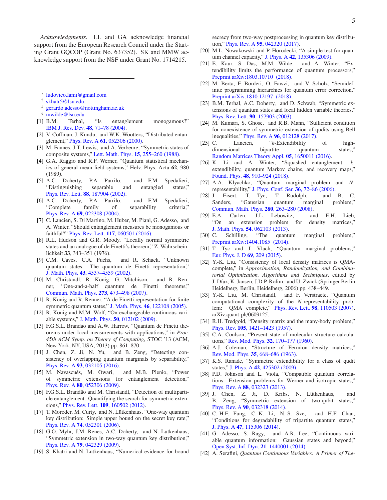*Acknowledgments.* LL and GA acknowledge financial support from the European Research Council under the Starting Grant GQCOP (Grant No. 637352). SK and MMW acknowledge support from the NSF under Grant No. 1714215.

- ∗ [ludovico.lami@gmail.com](mailto:ludovico.lami@gmail.com)
- <span id="page-6-0"></span>† [skhatr5@lsu.edu](mailto:skhatr5@lsu.edu)
- <span id="page-6-1"></span>‡ [gerardo.adesso@nottingham.ac.uk](mailto:gerardo.adesso@nottingham.ac.uk)
- <span id="page-6-3"></span><span id="page-6-2"></span>§ [mwilde@lsu.edu](mailto:mwilde@lsu.edu)
- <span id="page-6-4"></span>[1] B.M. Terhal, "Is entanglement monogamous?" [IBM J. Res. Dev.](http://dx.doi.org/10.1147/rd.481.0071) 48, 71–78 (2004).
- [2] V. Coffman, J. Kundu, and W.K. Wootters, "Distributed entanglement," Phys. Rev. A 61[, 052306 \(2000\).](http://dx.doi.org/10.1103/PhysRevA.61.052306)
- <span id="page-6-6"></span>[3] M. Fannes, J.T. Lewis, and A. Verbeure, "Symmetric states of composite systems," Lett. Math. Phys. 15[, 255–260 \(1988\).](http://dx.doi.org/10.1007/BF00398595)
- [4] G.A. Raggio and R.F. Werner, "Quantum statistical mechanics of general mean field systems," Helv. Phys. Acta 62, 980 (1989).
- <span id="page-6-24"></span>[5] A.C. Doherty, P.A. Parrilo, and F.M. Spedalieri, "Distinguishing separable and entangled states," Phys. Rev. Lett. 88[, 187904 \(2002\).](http://dx.doi.org/10.1103/PhysRevLett.88.187904)
- <span id="page-6-7"></span>[6] A.C. Doherty, P.A. Parrilo, and F.M. Spedalieri, "Complete family of separability criteria," Phys. Rev. A 69[, 022308 \(2004\).](http://dx.doi.org/10.1103/PhysRevA.69.022308)
- <span id="page-6-5"></span>[7] C. Lancien, S. Di Martino, M. Huber, M. Piani, G. Adesso, and A. Winter, "Should entanglement measures be monogamous or faithful?" Phys. Rev. Lett. 117[, 060501 \(2016\).](http://dx.doi.org/10.1103/PhysRevLett.117.060501)
- <span id="page-6-8"></span>[8] R.L. Hudson and G.R. Moody, "Locally normal symmetric states and an analogue of de Finetti's theorem," Z. Wahrscheinlichkeit 33, 343–351 (1976).
- [9] C.M. Caves, C.A. Fuchs, and R. Schack, "Unknown quantum states: The quantum de Finetti representation," J. Math. Phys. 43[, 4537–4559 \(2002\).](http://dx.doi.org/10.1063/1.1494475)
- [10] M. Christandl, R. König, G. Mitchison, and R. Renner, "One-and-a-half quantum de Finetti theorems," [Commun. Math. Phys.](http://dx.doi.org/10.1007/s00220-007-0189-3) 273, 473–498 (2007).
- [11] R. König and R. Renner, "A de Finetti representation for finite symmetric quantum states," J. Math. Phys. 46[, 122108 \(2005\).](http://dx.doi.org/ 10.1063/1.2146188)
- <span id="page-6-30"></span>[12] R. König and M.M. Wolf, "On exchangeable continuous variable systems," J. Math. Phys. 50[, 012102 \(2009\).](https://doi.org/10.1063/1.3043788)
- [13] F.G.S.L. Brandao and A.W. Harrow, "Quantum de Finetti theorems under local measurements with applications," in *Proc. 45th ACM Symp. on Theory of Computing*, STOC '13 (ACM, New York, NY, USA, 2013) pp. 861–870.
- <span id="page-6-9"></span>[14] J. Chen, Z. Ji, N. Yu, and B. Zeng, "Detecting consistency of overlapping quantum marginals by separability," Phys. Rev. A 93[, 032105 \(2016\).](http://dx.doi.org/10.1103/PhysRevA.93.032105)
- <span id="page-6-10"></span>[15] M. Navascués, M. Owari, and M.B. Plenio, "Power of symmetric extensions for entanglement detection," Phys. Rev. A 80[, 052306 \(2009\).](http://dx.doi.org/ 10.1103/PhysRevA.80.052306)
- <span id="page-6-11"></span>[16] F.G.S.L. Brandão and M. Christandl, "Detection of multiparticle entanglement: Quantifying the search for symmetric extensions," Phys. Rev. Lett. 109[, 160502 \(2012\).](http://dx.doi.org/10.1103/PhysRevLett.109.160502)
- <span id="page-6-12"></span>[17] T. Moroder, M. Curty, and N. Lütkenhaus, "One-way quantum key distribution: Simple upper bound on the secret key rate," Phys. Rev. A 74[, 052301 \(2006\).](http://dx.doi.org/ 10.1103/PhysRevA.74.052301)
- [18] G.O. Myhr, J.M. Renes, A.C. Doherty, and N. Lütkenhaus, "Symmetric extension in two-way quantum key distribution," Phys. Rev. A 79[, 042329 \(2009\).](http://dx.doi.org/ 10.1103/PhysRevA.79.042329)
- <span id="page-6-13"></span>[19] S. Khatri and N. Lütkenhaus, "Numerical evidence for bound

secrecy from two-way postprocessing in quantum key distribution," Phys. Rev. A 95[, 042320 \(2017\).](http://dx.doi.org/10.1103/PhysRevA.95.042320)

- <span id="page-6-14"></span>[20] M.L. Nowakowski and P. Horodecki, "A simple test for quantum channel capacity," J. Phys. A 42[, 135306 \(2009\).](http://dx.doi.org/ 10.1088/1751-8113/42/13/135306)
- <span id="page-6-29"></span>[21] E. Kaur, S. Das, M.M. Wilde, and A. Winter, "Extendibility limits the performance of quantum processors," [Preprint arXiv:1803.10710 \(2018\).](https://arxiv.org/abs/1803.10710)
- <span id="page-6-15"></span>[22] M. Berta, F. Borderi, O. Fawzi, and V. Scholz, "Semidefinite programming hierarchies for quantum error correction," [Preprint arXiv:1810.12197 \(2018\).](https://arxiv.org/abs/1810.12197)
- <span id="page-6-16"></span>[23] B.M. Terhal, A.C. Doherty, and D. Schwab, "Symmetric extensions of quantum states and local hidden variable theories," Phys. Rev. Lett. 90[, 157903 \(2003\).](http://dx.doi.org/ 10.1103/PhysRevLett.90.157903)
- <span id="page-6-17"></span>[24] M. Kumari, S. Ghose, and R.B. Mann, "Sufficient condition for nonexistence of symmetric extension of qudits using Bell inequalities," Phys. Rev. A 96[, 012128 \(2017\).](http://dx.doi.org/10.1103/PhysRevA.96.012128)
- <span id="page-6-18"></span>[25] C. Lancien, "*k*-Extendibility of highdimensional bipartite quantum states," [Random Matrices Theory Appl.](http://dx.doi.org/10.1142/S2010326316500118) 05, 1650011 (2016).
- <span id="page-6-19"></span>[26] K. Li and A. Winter, "Squashed entanglement, *k*extendibility, quantum Markov chains, and recovery maps," Found. Phys. 48[, 910–924 \(2018\).](http://dx.doi.org/10.1007/s10701-018-0143-6)
- <span id="page-6-20"></span>[27] A.A. Klyachko, "Quantum marginal problem and *N*representability," [J. Phys. Conf. Ser.](http://dx.doi.org/ 10.1088/1742-6596/36/1/014) 36, 72–86 (2006).
- [28] J. Eisert, T. Tyc, T. Rudolph, and B. C. Sanders, "Gaussian quantum marginal problem," [Commun. Math. Phys.](http://dx.doi.org/10.1007/s00220-008-0442-4) 280, 263–280 (2008).
- [29] E.A. Carlen, J.L. Lebowitz, and E.H. Lieb, "On an extension problem for density matrices," J. Math. Phys. **54**[, 062103 \(2013\).](http://dx.doi.org/10.1063/1.4808218)<br>C. Schilling, "The quantu
- [30] C. Schilling, "The quantum marginal problem," [Preprint arXiv:1404.1085 \(2014\).](https://arxiv.org/abs/1404.1085)
- [31] T. Tyc and J. Vlach, "Quantum marginal problems," [Eur. Phys. J. D](http://dx.doi.org/10.1140/epjd/e2015-60191-7) 69, 209 (2015).
- [32] Y.-K. Liu, "Consistency of local density matrices is QMAcomplete," in *Approximation, Randomization, and Combinatorial Optimization. Algorithms and Techniques*, edited by J. Díaz, K. Jansen, J.D.P. Rolim, and U. Zwick (Springer Berlin Heidelberg, Berlin, Heidelberg, 2006) pp. 438–449.
- <span id="page-6-21"></span>[33] Y.-K. Liu, M. Christandl, and F. Verstraete, "Quantum computational complexity of the *N*-representability problem: QMA complete," Phys. Rev. Lett. 98[, 110503 \(2007\),](http://dx.doi.org/10.1103/PhysRevLett.98.110503) arXiv:quant-ph/0609125.
- <span id="page-6-22"></span>[34] R.H. Tredgold, "Density matrix and the many-body problem," Phys. Rev. 105[, 1421–1423 \(1957\).](http://dx.doi.org/10.1103/PhysRev.105.1421)
- [35] C.A. Coulson, "Present state of molecular structure calculations," Rev. Mod. Phys. 32[, 170–177 \(1960\).](http://dx.doi.org/ 10.1103/RevModPhys.32.170)
- <span id="page-6-23"></span>[36] A.J. Coleman, "Structure of Fermion density matrices," Rev. Mod. Phys. 35[, 668–686 \(1963\).](http://dx.doi.org/10.1103/RevModPhys.35.668)
- <span id="page-6-25"></span>[37] K.S. Ranade, "Symmetric extendibility for a class of qudit states," J. Phys. A 42[, 425302 \(2009\).](http://dx.doi.org/ 10.1088/1751-8113/42/42/425302)
- [38] P.D. Johnson and L. Viola, "Compatible quantum correlations: Extension problems for Werner and isotropic states," Phys. Rev. A 88[, 032323 \(2013\).](http://dx.doi.org/10.1103/PhysRevA.88.032323)
- [39] J. Chen, Z. Ji, D. Kribs, N. Lütkenhaus, and B. Zeng, "Symmetric extension of two-qubit states," Phys. Rev. A 90[, 032318 \(2014\).](http://dx.doi.org/10.1103/PhysRevA.90.032318)
- <span id="page-6-26"></span>[40] C.-H.F. Fung, C.-K. Li, N.-S. Sze, and H.F. Chau, "Conditions for degradability of tripartite quantum states," J. Phys. A 47[, 115306 \(2014\).](http://dx.doi.org/ 10.1088/1751-8113/47/11/115306)
- <span id="page-6-27"></span>[41] G. Adesso, S. Ragy, and A.R. Lee, "Continuous variable quantum information: Gaussian states and beyond," [Open Syst. Inf. Dyn.](http://dx.doi.org/10.1142/S1230161214400010) 21, 1440001 (2014).
- <span id="page-6-28"></span>[42] A. Serafini, *Quantum Continuous Variables: A Primer of The-*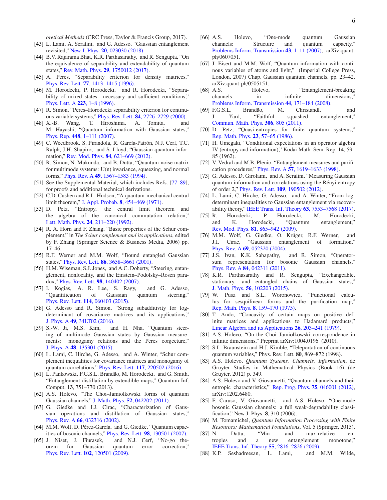*oretical Methods* (CRC Press, Taylor & Francis Group, 2017).

- <span id="page-7-0"></span>[43] L. Lami, A. Serafini, and G. Adesso, "Gaussian entanglement revisited," New J. Phys. 20[, 023030 \(2018\).](http://dx.doi.org/10.1088/1367-2630/aaa654)
- <span id="page-7-1"></span>[44] B.V. Rajarama Bhat, K.R. Parthasarathy, and R. Sengupta, "On the equivalence of separability and extendability of quantum states," Rev. Math. Phys. 29[, 1750012 \(2017\).](http://dx.doi.org/10.1142/S0129055X1750012X)
- <span id="page-7-2"></span>[45] A. Peres, "Separability criterion for density matrices," Phys. Rev. Lett. 77[, 1413–1415 \(1996\).](http://dx.doi.org/ 10.1103/PhysRevLett.77.1413)
- [46] M. Horodecki, P. Horodecki, and R. Horodecki, "Separability of mixed states: necessary and sufficient conditions," [Phys. Lett. A](http://dx.doi.org/ https://doi.org/10.1016/S0375-9601(96)00706-2) 223, 1–8 (1996).
- <span id="page-7-3"></span>[47] R. Simon, "Peres–Horodecki separability criterion for continuous variable systems," Phys. Rev. Lett. 84[, 2726–2729 \(2000\).](http://dx.doi.org/10.1103/PhysRevLett.84.2726)
- <span id="page-7-4"></span>[48] X.-B. Wang, T. Hiroshima, A. Tomita, and M. Hayashi, "Quantum information with Gaussian states," Phys. Rep. 448[, 1–111 \(2007\).](http://dx.doi.org/https://doi.org/10.1016/j.physrep.2007.04.005)
- <span id="page-7-5"></span>[49] C. Weedbrook, S. Pirandola, R. García-Patrón, N.J. Cerf, T.C. Ralph, J.H. Shapiro, and S. Lloyd, "Gaussian quantum information," Rev. Mod. Phys. 84, 621-669 (2012).
- <span id="page-7-6"></span>[50] R. Simon, N. Mukunda, and B. Dutta, "Quantum-noise matrix for multimode systems: U(n) invariance, squeezing, and normal forms," Phys. Rev. A 49[, 1567–1583 \(1994\).](http://dx.doi.org/ 10.1103/PhysRevA.49.1567)
- <span id="page-7-7"></span>[51] See the Supplemental Material, which includes Refs. [\[77](#page-7-30)[–89\]](#page-8-0), for proofs and additional technical derivations.
- <span id="page-7-8"></span>[52] C.D. Cushen and R.L. Hudson, "A quantum-mechanical central limit theorem," J. Appl. Probab. 8[, 454–469 \(1971\).](http://dx.doi.org/ 10.2307/3212170)
- <span id="page-7-9"></span>[53] D. Petz, "Entropy, the central limit theorem and the algebra of the canonical commutation relation," Lett. Math. Phys. 24[, 211–220 \(1992\).](http://dx.doi.org/10.1007/BF00402896)
- <span id="page-7-10"></span>[54] R. A. Horn and F. Zhang, "Basic properties of the Schur complement," in *The Schur complement and its applications*, edited by F. Zhang (Springer Science & Business Media, 2006) pp. 17–46.
- <span id="page-7-11"></span>[55] R.F. Werner and M.M. Wolf, "Bound entangled Gaussian states," Phys. Rev. Lett. 86[, 3658–3661 \(2001\).](http://dx.doi.org/10.1103/PhysRevLett.86.3658)
- <span id="page-7-12"></span>[56] H.M. Wiseman, S.J. Jones, and A.C. Doherty, "Steering, entanglement, nonlocality, and the Einstein–Podolsky–Rosen paradox," Phys. Rev. Lett. 98[, 140402 \(2007\).](http://dx.doi.org/ 10.1103/PhysRevLett.98.140402)
- <span id="page-7-25"></span>[57] I. Kogias, A. R. Lee, S. Ragy, and G. Adesso, "Quantification of Gaussian quantum steering," Phys. Rev. Lett. 114[, 060403 \(2015\).](http://dx.doi.org/10.1103/PhysRevLett.114.060403)
- [58] G. Adesso and R. Simon, "Strong subadditivity for logdeterminant of covariance matrices and its applications," J. Phys. A 49[, 34LT02 \(2016\).](http://dx.doi.org/10.1088/1751-8113/49/34/34lt02)
- [59] S.-W. Ji, M.S. Kim, and H. Nha, "Quantum steering of multimode Gaussian states by Gaussian measurements: monogamy relations and the Peres conjecture," J. Phys. A 48[, 135301 \(2015\).](http://dx.doi.org/10.1088/1751-8113/48/13/135301)
- <span id="page-7-13"></span>[60] L. Lami, C. Hirche, G. Adesso, and A. Winter, "Schur complement inequalities for covariance matrices and monogamy of quantum correlations," Phys. Rev. Lett. 117[, 220502 \(2016\).](http://dx.doi.org/ 10.1103/PhysRevLett.117.220502)
- <span id="page-7-14"></span>[61] L. Pankowski, F.G.S.L. Brandão, M. Horodecki, and G. Smith, "Entanglement distillation by extendible maps," Quantum Inf. Comput. 13, 751–770 (2013).
- <span id="page-7-15"></span>[62] A.S. Holevo, "The Choi–Jamiolkowski forms of quantum Gaussian channels," J. Math. Phys. 52[, 042202 \(2011\).](http://dx.doi.org/10.1063/1.3581879)
- <span id="page-7-16"></span>[63] G. Giedke and I.J. Cirac, "Characterization of Gaussian operations and distillation of Gaussian states," Phys. Rev. A 66[, 032316 \(2002\).](http://dx.doi.org/10.1103/PhysRevA.66.032316)
- [64] M.M. Wolf, D. Pérez-García, and G. Giedke, "Quantum capacities of bosonic channels," Phys. Rev. Lett. 98[, 130501 \(2007\).](http://dx.doi.org/ 10.1103/PhysRevLett.98.130501)
- <span id="page-7-17"></span>[65] J. Niset, J. Fiurasek, and N.J. Cerf, "No-go theorem for Gaussian quantum error correction," Phys. Rev. Lett. 102[, 120501 \(2009\).](http://dx.doi.org/10.1103/PhysRevLett.102.120501)
- <span id="page-7-18"></span>[66] A.S. Holevo, "One-mode quantum Gaussian channels: Structure and quantum capacity," [Problems Inform. Transmission](http://dx.doi.org/ 10.1134/S0032946007010012) 43, 1–11 (2007), arXiv:quantph/0607051.
- <span id="page-7-19"></span>[67] J. Eisert and M.M. Wolf, "Quantum information with continous variables of atoms and light," (Imperial College Press, London, 2007) Chap. Gaussian quantum channels, pp. 23–42, arXiv:quant-ph/0505151.
- <span id="page-7-20"></span>[68] A.S. Holevo, "Entanglement-breaking" channels in infinite dimensions, [Problems Inform. Transmission](http://dx.doi.org/ 10.1134/S0032946008030010) 44, 171–184 (2008).
- <span id="page-7-21"></span>[69] F.G.S.L. Brandão, M. Christandl, and J. Yard, "Faithful squashed entanglement," [Commun. Math. Phys.](http://dx.doi.org/ 10.1007/s00220-011-1302-1) 306, 805 (2011).
- <span id="page-7-22"></span>[70] D. Petz, "Quasi-entropies for finite quantum systems," [Rep. Math. Phys.](http://dx.doi.org/ https://doi.org/10.1016/0034-4877(86)90067-4) 23, 57–65 (1986).
- <span id="page-7-23"></span>[71] H. Umegaki, "Conditional expectations in an operator algebra IV (entropy and information)," Kodai Math. Sem. Rep. 14, 59– 85 (1962).
- <span id="page-7-24"></span>[72] V. Vedral and M.B. Plenio, "Entanglement measures and purification procedures," Phys. Rev. A 57[, 1619–1633 \(1998\).](http://dx.doi.org/ 10.1103/PhysRevA.57.1619)
- <span id="page-7-26"></span>[73] G. Adesso, D. Girolami, and A. Serafini, "Measuring Gaussian quantum information and correlations using the Rényi entropy of order 2," Phys. Rev. Lett. 109[, 190502 \(2012\).](http://dx.doi.org/10.1103/PhysRevLett.109.190502)
- <span id="page-7-27"></span>[74] L. Lami, C. Hirche, G. Adesso, and A. Winter, "From logdeterminant inequalities to Gaussian entanglement via recoverability theory," [IEEE Trans. Inf. Theory](http://dx.doi.org/ 10.1109/TIT.2017.2737546) 63, 7553–7568 (2017).
- <span id="page-7-28"></span>[75] R. Horodecki, P. Horodecki, M. Horodecki, and K. Horodecki, "Quantum entanglement," Rev. Mod. Phys. 81[, 865–942 \(2009\).](http://dx.doi.org/10.1103/RevModPhys.81.865)
- <span id="page-7-29"></span>[76] M.M. Wolf, G. Giedke, O. Krüger, R.F. Werner, and J.I. Cirac, "Gaussian entanglement of formation," Phys. Rev. A 69[, 052320 \(2004\).](http://dx.doi.org/10.1103/PhysRevA.69.052320)
- <span id="page-7-30"></span>[77] J.S. Ivan, K.K. Sabapathy, and R. Simon, "Operatorsum representation for bosonic Gaussian channels," Phys. Rev. A 84[, 042311 \(2011\).](http://dx.doi.org/ 10.1103/PhysRevA.84.042311)
- [78] K.R. Parthasarathy and R. Sengupta, "Exchangeable, stationary, and entangled chains of Gaussian states," J. Math. Phys. 56[, 102203 \(2015\).](http://dx.doi.org/ 10.1063/1.4932959)
- [79] W. Pusz and S.L. Woronowicz, "Functional calculus for sesquilinear forms and the purification map," Rep. Math. Phys. 8[, 159–170 \(1975\).](http://dx.doi.org/ https://doi.org/10.1016/0034-4877(75)90061-0)
- [80] T. Ando, "Concavity of certain maps on positive definite matrices and applications to Hadamard products," [Linear Algebra and its Applications](http://dx.doi.org/https://doi.org/10.1016/0024-3795(79)90179-4) 26, 203–241 (1979).
- [81] A.S. Holevo, "On the Choi–Jamiolkowski correspondence in infinite dimensions," Preprint arXiv:1004.0196 (2010).
- [82] S.L. Braunstein and H.J. Kimble, "Teleportation of continuous quantum variables," Phys. Rev. Lett. 80, 869–872 (1998).
- [83] A.S. Holevo, *Quantum Systems, Channels, Information*, de Gruyter Studies in Mathematical Physics (Book 16) (de Gruyter, 2012) p. 349.
- [84] A.S. Holevo and V. Giovannetti, "Quantum channels and their entropic characteristics," [Rep. Prog. Phys.](http://stacks.iop.org/0034-4885/75/i=4/a=046001) 75, 046001 (2012), arXiv:1202.6480.
- [85] F. Caruso, V. Giovannetti, and A.S. Holevo, "One-mode bosonic Gaussian channels: a full weak-degradability classification," New J. Phys. 8, 310 (2006).
- [86] M. Tomamichel, *Quantum Information Processing with Finite Resources: Mathematical Foundations*, Vol. 5 (Springer, 2015).
- [87] N. Datta, "Min- and max-relative entropies and a new entanglement monotone," [IEEE Trans. Inf. Theory](http://dx.doi.org/ 10.1109/TIT.2009.2018325) 55, 2816–2826 (2009).
- [88] K.P. Seshadreesan, L. Lami, and M.M. Wilde,